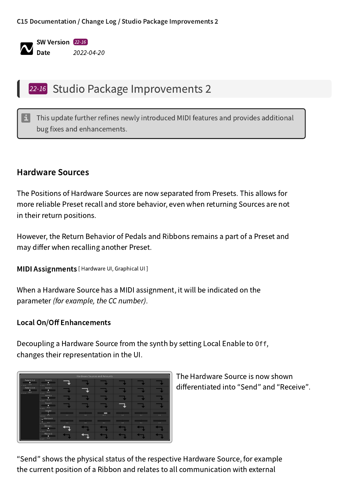#### C15 [Documentation](file:///home/bill/Development/C15/projects/web/static/online-help/index.html) / [Change](file:///home/bill/Development/C15/projects/web/static/online-help/documents/change-log/index.html) Log / Studio Package [Improvements](file:///home/bill/Development/C15/projects/web/static/online-help/documents/change-log/22-16.html) 2



# 22-16 Studio Package Improvements 2

 $\pm$  This update further refines newly introduced MIDI features and provides additional bug fixes and enhancements.

### Hardware Sources

The Positions of Hardware Sources are now separated from Presets. This allows for more reliable Preset recall and store behavior, even when returning Sources are not in their return positions.

However, the Return Behavior of Pedals and Ribbons remains a part of a Preset and may differ when recalling another Preset.

**MIDI Assignments** [ Hardware UI, Graphical UI ]

When a Hardware Source has a MIDI assignment, it will be indicated on the parameter (for example, the CC number).

#### Local On/Off Enhancements

Decoupling a Hardware Source from the synth by setting Local Enable to Off, changes their representation in the UI.



The Hardware Source is now shown differentiated into "Send" and "Receive".

"Send" shows the physical status of the respective Hardware Source, for example the current position of a Ribbon and relates to all communication with external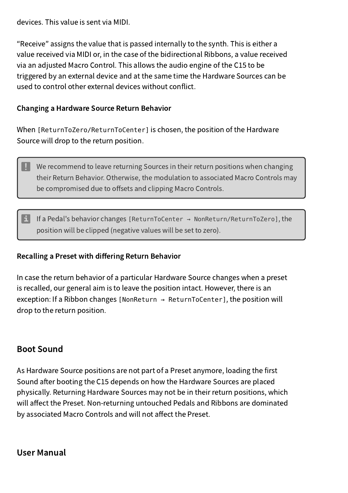devices. This value is sent via MIDI.

"Receive" assigns the value that is passed internally to the synth. This is either a value received via MIDI or, in the case of the bidirectional Ribbons, a value received via an adjusted Macro Control. This allows the audio engine of the C15 to be triggered by an external device and at the same time the Hardware Sources can be used to control other external devices without conflict.

#### Changing a Hardware Source Return Behavior

When [ReturnToZero/ReturnToCenter] is chosen, the position of the Hardware Source will drop to the return position.

 $\Box$  We recommend to leave returning Sources in their return positions when changing their Return Behavior. Otherwise, the modulation to associated Macro Controls may be compromised due to offsets and clipping Macro Controls.

If a Pedal's behavior changes [ReturnToCenter  $\rightarrow$  NonReturn/ReturnToZero], the position will be clipped (negative values will be set to zero).

#### Recalling a Preset with differing Return Behavior

In case the return behavior of a particular Hardware Source changes when a preset is recalled, our general aim is to leave the position intact. However, there is an exception: If a Ribbon changes [NonReturn <sup>→</sup> ReturnToCenter], the position will drop to the return position.

## Boot Sound

As Hardware Source positions are not part of a Preset anymore, loading the first Sound after booting the C15 depends on how the Hardware Sources are placed physically. Returning Hardware Sources may not be in their return positions, which will affect the Preset. Non-returning untouched Pedals and Ribbons are dominated by associated Macro Controls and will not affect the Preset.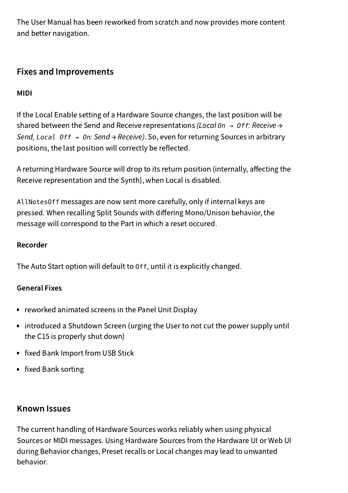The User Manual has been reworked from scratch and now provides more content and better navigation.

# Fixes and Improvements

MIDI

If the Local Enable setting of a Hardware Source changes, the last position will be shared between the Send and Receive representations (Local *On <sup>→</sup> Off*: Receive → Send, *Local Off <sup>→</sup> On*: Send → Receive). So, even for returning Sources in arbitrary positions, the last position will correctly be reflected.

A returning Hardware Source will drop to its return position (internally, affecting the Receive representation and the Synth), when Local is disabled.

AllNotesOff messages are now sent more carefully, only if internal keys are pressed. When recalling Split Sounds with differing Mono/Unison behavior, the message will correspond to the Part in which a reset occured.

## Recorder

The Auto Start option will default to Off, until it is explicitly changed.

## General Fixes

- reworked animated screens in the Panel Unit Display  $\bullet$
- introduced a Shutdown Screen (urging the User to not cut the power supply until the C15 is properly shut down)
- fixed Bank Import from USB Stick
- fixed Bank sorting

## Known Issues

The current handling of Hardware Sources works reliably when using physical Sources or MIDI messages. Using Hardware Sources from the Hardware UI or Web UI during Behavior changes, Preset recalls or Local changes may lead to unwanted behavior.